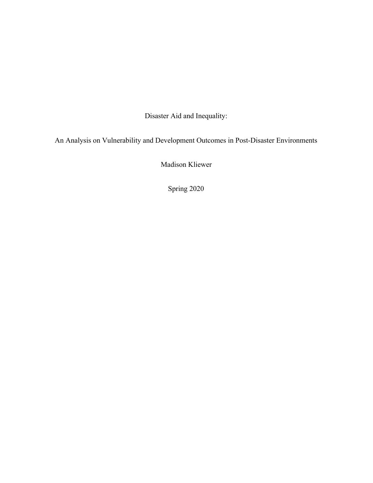Disaster Aid and Inequality:

An Analysis on Vulnerability and Development Outcomes in Post-Disaster Environments

Madison Kliewer

Spring 2020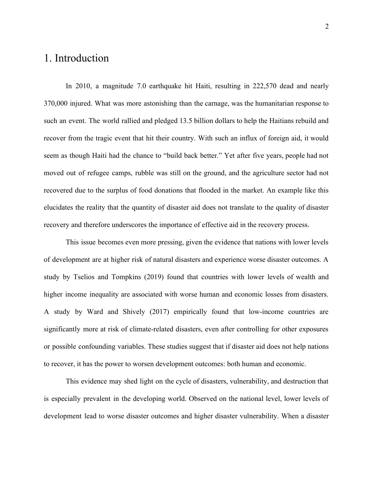# 1. Introduction

In 2010, a magnitude 7.0 earthquake hit Haiti, resulting in 222,570 dead and nearly 370,000 injured. What was more astonishing than the carnage, was the humanitarian response to such an event. The world rallied and pledged 13.5 billion dollars to help the Haitians rebuild and recover from the tragic event that hit their country. With such an influx of foreign aid, it would seem as though Haiti had the chance to "build back better." Yet after five years, people had not moved out of refugee camps, rubble was still on the ground, and the agriculture sector had not recovered due to the surplus of food donations that flooded in the market. An example like this elucidates the reality that the quantity of disaster aid does not translate to the quality of disaster recovery and therefore underscores the importance of effective aid in the recovery process.

This issue becomes even more pressing, given the evidence that nations with lower levels of development are at higher risk of natural disasters and experience worse disaster outcomes. A study by Tselios and Tompkins (2019) found that countries with lower levels of wealth and higher income inequality are associated with worse human and economic losses from disasters. A study by Ward and Shively (2017) empirically found that low-income countries are significantly more at risk of climate-related disasters, even after controlling for other exposures or possible confounding variables. These studies suggest that if disaster aid does not help nations to recover, it has the power to worsen development outcomes: both human and economic.

This evidence may shed light on the cycle of disasters, vulnerability, and destruction that is especially prevalent in the developing world. Observed on the national level, lower levels of development lead to worse disaster outcomes and higher disaster vulnerability. When a disaster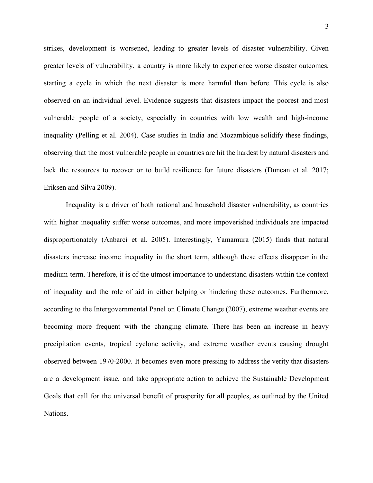strikes, development is worsened, leading to greater levels of disaster vulnerability. Given greater levels of vulnerability, a country is more likely to experience worse disaster outcomes, starting a cycle in which the next disaster is more harmful than before. This cycle is also observed on an individual level. Evidence suggests that disasters impact the poorest and most vulnerable people of a society, especially in countries with low wealth and high-income inequality (Pelling et al. 2004). Case studies in India and Mozambique solidify these findings, observing that the most vulnerable people in countries are hit the hardest by natural disasters and lack the resources to recover or to build resilience for future disasters (Duncan et al. 2017; Eriksen and Silva 2009).

Inequality is a driver of both national and household disaster vulnerability, as countries with higher inequality suffer worse outcomes, and more impoverished individuals are impacted disproportionately (Anbarci et al. 2005). Interestingly, Yamamura (2015) finds that natural disasters increase income inequality in the short term, although these effects disappear in the medium term. Therefore, it is of the utmost importance to understand disasters within the context of inequality and the role of aid in either helping or hindering these outcomes. Furthermore, according to the Intergovernmental Panel on Climate Change (2007), extreme weather events are becoming more frequent with the changing climate. There has been an increase in heavy precipitation events, tropical cyclone activity, and extreme weather events causing drought observed between 1970-2000. It becomes even more pressing to address the verity that disasters are a development issue, and take appropriate action to achieve the Sustainable Development Goals that call for the universal benefit of prosperity for all peoples, as outlined by the United Nations.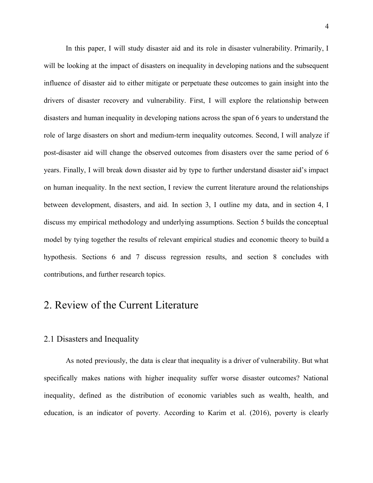In this paper, I will study disaster aid and its role in disaster vulnerability. Primarily, I will be looking at the impact of disasters on inequality in developing nations and the subsequent influence of disaster aid to either mitigate or perpetuate these outcomes to gain insight into the drivers of disaster recovery and vulnerability. First, I will explore the relationship between disasters and human inequality in developing nations across the span of 6 years to understand the role of large disasters on short and medium-term inequality outcomes. Second, I will analyze if post-disaster aid will change the observed outcomes from disasters over the same period of 6 years. Finally, I will break down disaster aid by type to further understand disaster aid's impact on human inequality. In the next section, I review the current literature around the relationships between development, disasters, and aid. In section 3, I outline my data, and in section 4, I discuss my empirical methodology and underlying assumptions. Section 5 builds the conceptual model by tying together the results of relevant empirical studies and economic theory to build a hypothesis. Sections 6 and 7 discuss regression results, and section 8 concludes with contributions, and further research topics.

## 2. Review of the Current Literature

### 2.1 Disasters and Inequality

As noted previously, the data is clear that inequality is a driver of vulnerability. But what specifically makes nations with higher inequality suffer worse disaster outcomes? National inequality, defined as the distribution of economic variables such as wealth, health, and education, is an indicator of poverty. According to Karim et al. (2016), poverty is clearly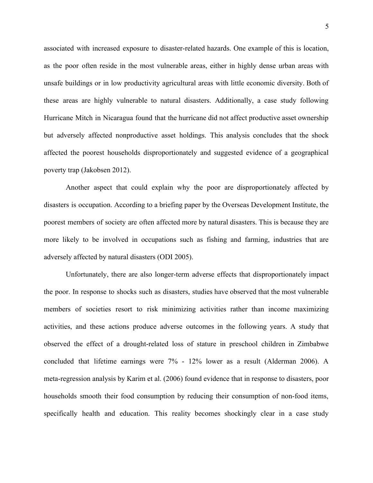associated with increased exposure to disaster-related hazards. One example of this is location, as the poor often reside in the most vulnerable areas, either in highly dense urban areas with unsafe buildings or in low productivity agricultural areas with little economic diversity. Both of these areas are highly vulnerable to natural disasters. Additionally, a case study following Hurricane Mitch in Nicaragua found that the hurricane did not affect productive asset ownership but adversely affected nonproductive asset holdings. This analysis concludes that the shock affected the poorest households disproportionately and suggested evidence of a geographical poverty trap (Jakobsen 2012).

Another aspect that could explain why the poor are disproportionately affected by disasters is occupation. According to a briefing paper by the Overseas Development Institute, the poorest members of society are often affected more by natural disasters. This is because they are more likely to be involved in occupations such as fishing and farming, industries that are adversely affected by natural disasters (ODI 2005).

Unfortunately, there are also longer-term adverse effects that disproportionately impact the poor. In response to shocks such as disasters, studies have observed that the most vulnerable members of societies resort to risk minimizing activities rather than income maximizing activities, and these actions produce adverse outcomes in the following years. A study that observed the effect of a drought-related loss of stature in preschool children in Zimbabwe concluded that lifetime earnings were 7% - 12% lower as a result (Alderman 2006). A meta-regression analysis by Karim et al. (2006) found evidence that in response to disasters, poor households smooth their food consumption by reducing their consumption of non-food items, specifically health and education. This reality becomes shockingly clear in a case study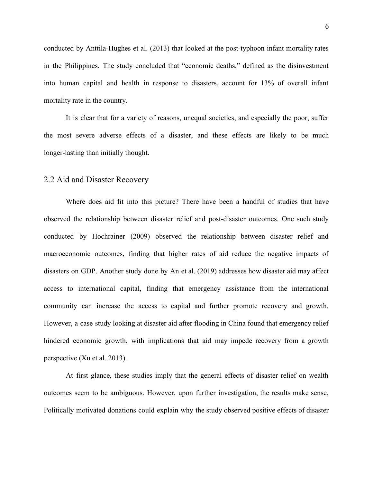conducted by Anttila-Hughes et al. (2013) that looked at the post-typhoon infant mortality rates in the Philippines. The study concluded that "economic deaths," defined as the disinvestment into human capital and health in response to disasters, account for 13% of overall infant mortality rate in the country.

It is clear that for a variety of reasons, unequal societies, and especially the poor, suffer the most severe adverse effects of a disaster, and these effects are likely to be much longer-lasting than initially thought.

### 2.2 Aid and Disaster Recovery

Where does aid fit into this picture? There have been a handful of studies that have observed the relationship between disaster relief and post-disaster outcomes. One such study conducted by Hochrainer (2009) observed the relationship between disaster relief and macroeconomic outcomes, finding that higher rates of aid reduce the negative impacts of disasters on GDP. Another study done by An et al. (2019) addresses how disaster aid may affect access to international capital, finding that emergency assistance from the international community can increase the access to capital and further promote recovery and growth. However, a case study looking at disaster aid after flooding in China found that emergency relief hindered economic growth, with implications that aid may impede recovery from a growth perspective (Xu et al. 2013).

At first glance, these studies imply that the general effects of disaster relief on wealth outcomes seem to be ambiguous. However, upon further investigation, the results make sense. Politically motivated donations could explain why the study observed positive effects of disaster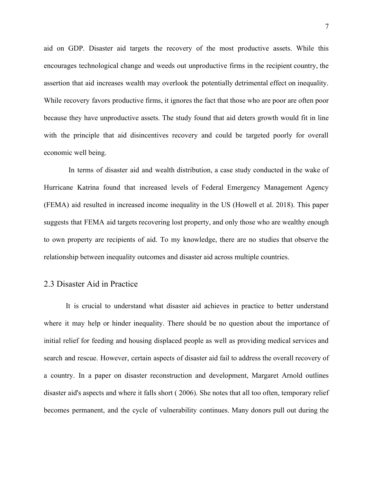aid on GDP. Disaster aid targets the recovery of the most productive assets. While this encourages technological change and weeds out unproductive firms in the recipient country, the assertion that aid increases wealth may overlook the potentially detrimental effect on inequality. While recovery favors productive firms, it ignores the fact that those who are poor are often poor because they have unproductive assets. The study found that aid deters growth would fit in line with the principle that aid disincentives recovery and could be targeted poorly for overall economic well being.

In terms of disaster aid and wealth distribution, a case study conducted in the wake of Hurricane Katrina found that increased levels of Federal Emergency Management Agency (FEMA) aid resulted in increased income inequality in the US (Howell et al. 2018). This paper suggests that FEMA aid targets recovering lost property, and only those who are wealthy enough to own property are recipients of aid. To my knowledge, there are no studies that observe the relationship between inequality outcomes and disaster aid across multiple countries.

### 2.3 Disaster Aid in Practice

It is crucial to understand what disaster aid achieves in practice to better understand where it may help or hinder inequality. There should be no question about the importance of initial relief for feeding and housing displaced people as well as providing medical services and search and rescue. However, certain aspects of disaster aid fail to address the overall recovery of a country. In a paper on disaster reconstruction and development, Margaret Arnold outlines disaster aid's aspects and where it falls short ( 2006). She notes that all too often, temporary relief becomes permanent, and the cycle of vulnerability continues. Many donors pull out during the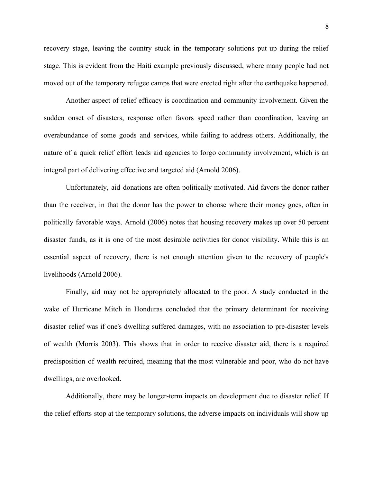recovery stage, leaving the country stuck in the temporary solutions put up during the relief stage. This is evident from the Haiti example previously discussed, where many people had not moved out of the temporary refugee camps that were erected right after the earthquake happened.

Another aspect of relief efficacy is coordination and community involvement. Given the sudden onset of disasters, response often favors speed rather than coordination, leaving an overabundance of some goods and services, while failing to address others. Additionally, the nature of a quick relief effort leads aid agencies to forgo community involvement, which is an integral part of delivering effective and targeted aid (Arnold 2006).

Unfortunately, aid donations are often politically motivated. Aid favors the donor rather than the receiver, in that the donor has the power to choose where their money goes, often in politically favorable ways. Arnold (2006) notes that housing recovery makes up over 50 percent disaster funds, as it is one of the most desirable activities for donor visibility. While this is an essential aspect of recovery, there is not enough attention given to the recovery of people's livelihoods (Arnold 2006).

Finally, aid may not be appropriately allocated to the poor. A study conducted in the wake of Hurricane Mitch in Honduras concluded that the primary determinant for receiving disaster relief was if one's dwelling suffered damages, with no association to pre-disaster levels of wealth (Morris 2003). This shows that in order to receive disaster aid, there is a required predisposition of wealth required, meaning that the most vulnerable and poor, who do not have dwellings, are overlooked.

Additionally, there may be longer-term impacts on development due to disaster relief. If the relief efforts stop at the temporary solutions, the adverse impacts on individuals will show up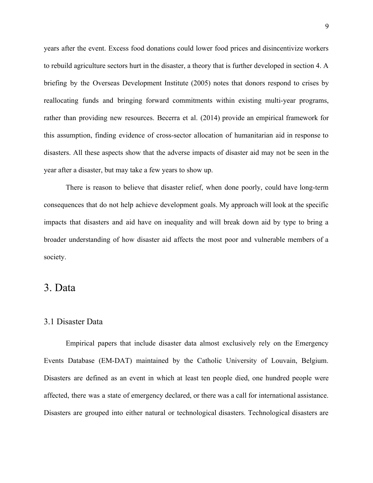years after the event. Excess food donations could lower food prices and disincentivize workers to rebuild agriculture sectors hurt in the disaster, a theory that is further developed in section 4. A briefing by the Overseas Development Institute (2005) notes that donors respond to crises by reallocating funds and bringing forward commitments within existing multi-year programs, rather than providing new resources. Becerra et al. (2014) provide an empirical framework for this assumption, finding evidence of cross-sector allocation of humanitarian aid in response to disasters. All these aspects show that the adverse impacts of disaster aid may not be seen in the year after a disaster, but may take a few years to show up.

There is reason to believe that disaster relief, when done poorly, could have long-term consequences that do not help achieve development goals. My approach will look at the specific impacts that disasters and aid have on inequality and will break down aid by type to bring a broader understanding of how disaster aid affects the most poor and vulnerable members of a society.

## 3. Data

### 3.1 Disaster Data

Empirical papers that include disaster data almost exclusively rely on the Emergency Events Database (EM-DAT) maintained by the Catholic University of Louvain, Belgium. Disasters are defined as an event in which at least ten people died, one hundred people were affected, there was a state of emergency declared, or there was a call for international assistance. Disasters are grouped into either natural or technological disasters. Technological disasters are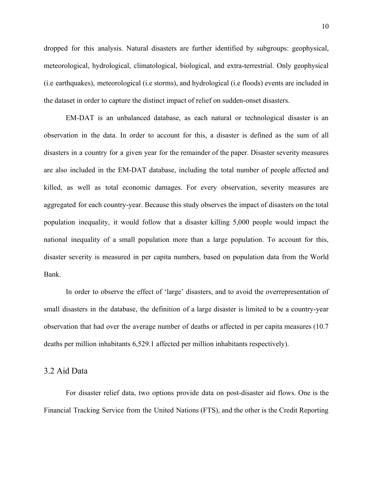dropped for this analysis. Natural disasters are further identified by subgroups: geophysical, meteorological, hydrological, climatological, biological, and extra-terrestrial. Only geophysical (i.e earthquakes), meteorological (i.e storms), and hydrological (i.e floods) events are included in the dataset in order to capture the distinct impact of relief on sudden-onset disasters.

EM-DAT is an unbalanced database, as each natural or technological disaster is an observation in the data. In order to account for this, a disaster is defined as the sum of all disasters in a country for a given year for the remainder of the paper. Disaster severity measures are also included in the EM-DAT database, including the total number of people affected and killed, as well as total economic damages. For every observation, severity measures are aggregated for each country-year. Because this study observes the impact of disasters on the total population inequality, it would follow that a disaster killing 5,000 people would impact the national inequality of a small population more than a large population. To account for this, disaster severity is measured in per capita numbers, based on population data from the World Bank.

In order to observe the effect of 'large' disasters, and to avoid the overrepresentation of small disasters in the database, the definition of a large disaster is limited to be a country-year observation that had over the average number of deaths or affected in per capita measures (10.7 deaths per million inhabitants 6,529.1 affected per million inhabitants respectively).

### 3.2 Aid Data

For disaster relief data, two options provide data on post-disaster aid flows. One is the Financial Tracking Service from the United Nations (FTS), and the other is the Credit Reporting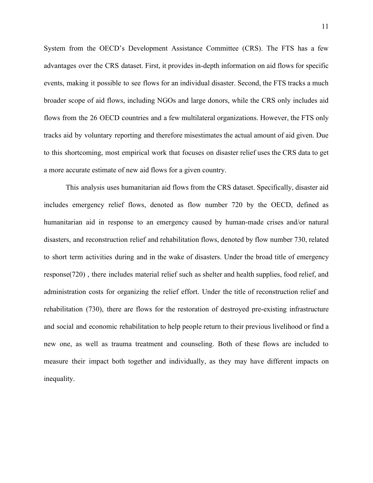System from the OECD's Development Assistance Committee (CRS). The FTS has a few advantages over the CRS dataset. First, it provides in-depth information on aid flows for specific events, making it possible to see flows for an individual disaster. Second, the FTS tracks a much broader scope of aid flows, including NGOs and large donors, while the CRS only includes aid flows from the 26 OECD countries and a few multilateral organizations. However, the FTS only tracks aid by voluntary reporting and therefore misestimates the actual amount of aid given. Due to this shortcoming, most empirical work that focuses on disaster relief uses the CRS data to get a more accurate estimate of new aid flows for a given country.

This analysis uses humanitarian aid flows from the CRS dataset. Specifically, disaster aid includes emergency relief flows, denoted as flow number 720 by the OECD, defined as humanitarian aid in response to an emergency caused by human-made crises and/or natural disasters, and reconstruction relief and rehabilitation flows, denoted by flow number 730, related to short term activities during and in the wake of disasters. Under the broad title of emergency response(720) , there includes material relief such as shelter and health supplies, food relief, and administration costs for organizing the relief effort. Under the title of reconstruction relief and rehabilitation (730), there are flows for the restoration of destroyed pre-existing infrastructure and social and economic rehabilitation to help people return to their previous livelihood or find a new one, as well as trauma treatment and counseling. Both of these flows are included to measure their impact both together and individually, as they may have different impacts on inequality.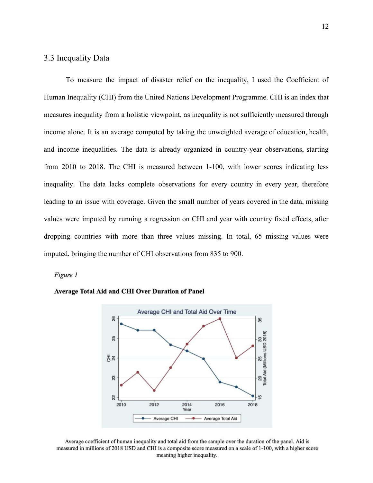## 3.3 Inequality Data

To measure the impact of disaster relief on the inequality, I used the Coefficient of Human Inequality (CHI) from the United Nations Development Programme. CHI is an index that measures inequality from a holistic viewpoint, as inequality is not sufficiently measured through income alone. It is an average computed by taking the unweighted average of education, health, and income inequalities. The data is already organized in country-year observations, starting from 2010 to 2018. The CHI is measured between 1-100, with lower scores indicating less inequality. The data lacks complete observations for every country in every year, therefore leading to an issue with coverage. Given the small number of years covered in the data, missing values were imputed by running a regression on CHI and year with country fixed effects, after dropping countries with more than three values missing. In total, 65 missing values were imputed, bringing the number of CHI observations from 835 to 900.

#### Figure 1





Average coefficient of human inequality and total aid from the sample over the duration of the panel. Aid is measured in millions of 2018 USD and CHI is a composite score measured on a scale of 1-100, with a higher score meaning higher inequality.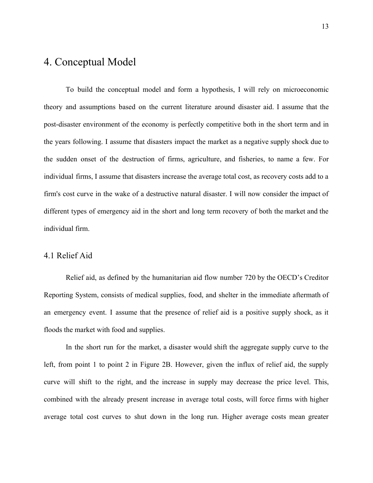# 4. Conceptual Model

To build the conceptual model and form a hypothesis, I will rely on microeconomic theory and assumptions based on the current literature around disaster aid. I assume that the post-disaster environment of the economy is perfectly competitive both in the short term and in the years following. I assume that disasters impact the market as a negative supply shock due to the sudden onset of the destruction of firms, agriculture, and fisheries, to name a few. For individual firms, I assume that disasters increase the average total cost, as recovery costs add to a firm's cost curve in the wake of a destructive natural disaster. I will now consider the impact of different types of emergency aid in the short and long term recovery of both the market and the individual firm.

### 4.1 Relief Aid

Relief aid, as defined by the humanitarian aid flow number 720 by the OECD's Creditor Reporting System, consists of medical supplies, food, and shelter in the immediate aftermath of an emergency event. I assume that the presence of relief aid is a positive supply shock, as it floods the market with food and supplies.

In the short run for the market, a disaster would shift the aggregate supply curve to the left, from point 1 to point 2 in Figure 2B. However, given the influx of relief aid, the supply curve will shift to the right, and the increase in supply may decrease the price level. This, combined with the already present increase in average total costs, will force firms with higher average total cost curves to shut down in the long run. Higher average costs mean greater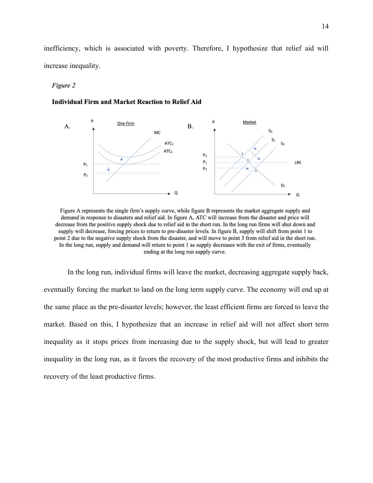inefficiency, which is associated with poverty. Therefore, I hypothesize that relief aid will increase inequality.

#### Figure 2

#### **Individual Firm and Market Reaction to Relief Aid**



Figure A represents the single firm's supply curve, while figure B represents the market aggregate supply and demand in response to disasters and relief aid. In figure A, ATC will increase from the disaster and price will decrease from the positive supply shock due to relief aid in the short run. In the long run firms will shut down and supply will decrease, forcing prices to return to pre-disaster levels. In figure B, supply will shift from point 1 to point 2 due to the negative supply shock from the disaster, and will move to point 3 from relief aid in the short run. In the long run, supply and demand will return to point 1 as supply decreases with the exit of firms, eventually ending at the long run supply curve.

In the long run, individual firms will leave the market, decreasing aggregate supply back, eventually forcing the market to land on the long term supply curve. The economy will end up at the same place as the pre-disaster levels; however, the least efficient firms are forced to leave the market. Based on this, I hypothesize that an increase in relief aid will not affect short term inequality as it stops prices from increasing due to the supply shock, but will lead to greater inequality in the long run, as it favors the recovery of the most productive firms and inhibits the recovery of the least productive firms.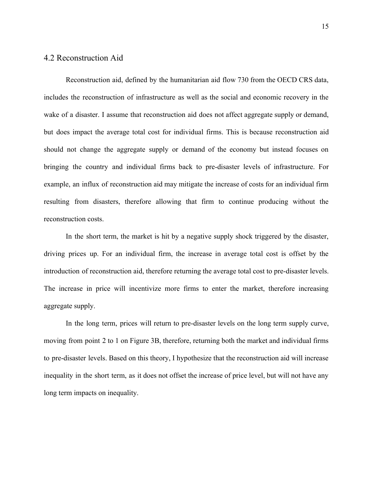### 4.2 Reconstruction Aid

Reconstruction aid, defined by the humanitarian aid flow 730 from the OECD CRS data, includes the reconstruction of infrastructure as well as the social and economic recovery in the wake of a disaster. I assume that reconstruction aid does not affect aggregate supply or demand, but does impact the average total cost for individual firms. This is because reconstruction aid should not change the aggregate supply or demand of the economy but instead focuses on bringing the country and individual firms back to pre-disaster levels of infrastructure. For example, an influx of reconstruction aid may mitigate the increase of costs for an individual firm resulting from disasters, therefore allowing that firm to continue producing without the reconstruction costs.

In the short term, the market is hit by a negative supply shock triggered by the disaster, driving prices up. For an individual firm, the increase in average total cost is offset by the introduction of reconstruction aid, therefore returning the average total cost to pre-disaster levels. The increase in price will incentivize more firms to enter the market, therefore increasing aggregate supply.

In the long term, prices will return to pre-disaster levels on the long term supply curve, moving from point 2 to 1 on Figure 3B, therefore, returning both the market and individual firms to pre-disaster levels. Based on this theory, I hypothesize that the reconstruction aid will increase inequality in the short term, as it does not offset the increase of price level, but will not have any long term impacts on inequality.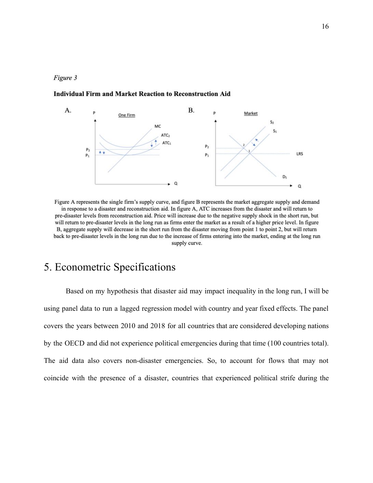### Figure 3

#### **Individual Firm and Market Reaction to Reconstruction Aid**



Figure A represents the single firm's supply curve, and figure B represents the market aggregate supply and demand in response to a disaster and reconstruction aid. In figure A, ATC increases from the disaster and will return to pre-disaster levels from reconstruction aid. Price will increase due to the negative supply shock in the short run, but will return to pre-disaster levels in the long run as firms enter the market as a result of a higher price level. In figure B, aggregate supply will decrease in the short run from the disaster moving from point 1 to point 2, but will return back to pre-disaster levels in the long run due to the increase of firms entering into the market, ending at the long run supply curve.

# 5. Econometric Specifications

Based on my hypothesis that disaster aid may impact inequality in the long run, I will be using panel data to run a lagged regression model with country and year fixed effects. The panel covers the years between 2010 and 2018 for all countries that are considered developing nations by the OECD and did not experience political emergencies during that time (100 countries total). The aid data also covers non-disaster emergencies. So, to account for flows that may not coincide with the presence of a disaster, countries that experienced political strife during the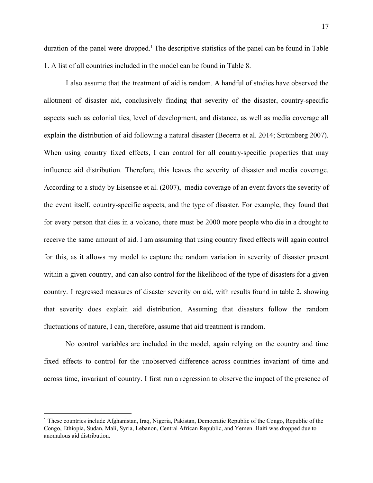17

duration of the panel were dropped.<sup>1</sup> The descriptive statistics of the panel can be found in Table 1. A list of all countries included in the model can be found in Table 8.

I also assume that the treatment of aid is random. A handful of studies have observed the allotment of disaster aid, conclusively finding that severity of the disaster, country-specific aspects such as colonial ties, level of development, and distance, as well as media coverage all explain the distribution of aid following a natural disaster (Becerra et al. 2014; Strömberg 2007). When using country fixed effects, I can control for all country-specific properties that may influence aid distribution. Therefore, this leaves the severity of disaster and media coverage. According to a study by Eisensee et al. (2007), media coverage of an event favors the severity of the event itself, country-specific aspects, and the type of disaster. For example, they found that for every person that dies in a volcano, there must be 2000 more people who die in a drought to receive the same amount of aid. I am assuming that using country fixed effects will again control for this, as it allows my model to capture the random variation in severity of disaster present within a given country, and can also control for the likelihood of the type of disasters for a given country. I regressed measures of disaster severity on aid, with results found in table 2, showing that severity does explain aid distribution. Assuming that disasters follow the random fluctuations of nature, I can, therefore, assume that aid treatment is random.

No control variables are included in the model, again relying on the country and time fixed effects to control for the unobserved difference across countries invariant of time and across time, invariant of country. I first run a regression to observe the impact of the presence of

<sup>1</sup> These countries include Afghanistan, Iraq, Nigeria, Pakistan, Democratic Republic of the Congo, Republic of the Congo, Ethiopia, Sudan, Mali, Syria, Lebanon, Central African Republic, and Yemen. Haiti was dropped due to anomalous aid distribution.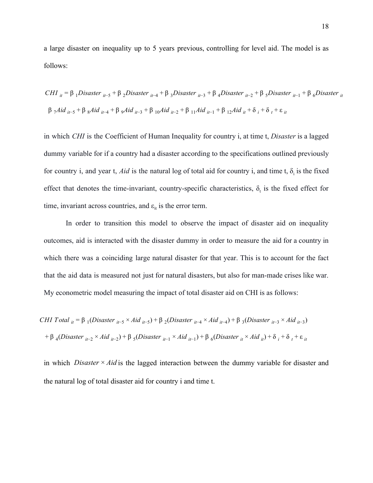a large disaster on inequality up to 5 years previous, controlling for level aid. The model is as follows:

$$
CHI_{it} = \beta_1 Disaster_{it-5} + \beta_2 Disaster_{it-4} + \beta_3 Disaster_{it-3} + \beta_4 Disaster_{it-2} + \beta_5 Disaster_{it-1} + \beta_6 Disaster_{it}
$$
  

$$
\beta_7 A id_{it-5} + \beta_8 A id_{it-4} + \beta_9 A id_{it-3} + \beta_{10} A id_{it-2} + \beta_{11} A id_{it-1} + \beta_{12} A id_{it} + \delta_i + \delta_i + \epsilon_{it}
$$

in which *CHI* is the Coefficient of Human Inequality for country i, at time t, *Disaster* is a lagged dummy variable for if a country had a disaster according to the specifications outlined previously for country i, and year t, *Aid* is the natural log of total aid for country i, and time t,  $\delta_i$  is the fixed effect that denotes the time-invariant, country-specific characteristics,  $\delta_t$  is the fixed effect for time, invariant across countries, and  $\varepsilon_{it}$  is the error term.

In order to transition this model to observe the impact of disaster aid on inequality outcomes, aid is interacted with the disaster dummy in order to measure the aid for a country in which there was a coinciding large natural disaster for that year. This is to account for the fact that the aid data is measured not just for natural disasters, but also for man-made crises like war. My econometric model measuring the impact of total disaster aid on CHI is as follows:

*CHI Total* 
$$
_{it} = \beta_1 (Disaster_{it-5} \times Aid_{it-5}) + \beta_2 (Disaster_{it-4} \times Aid_{it-4}) + \beta_3 (Disaster_{it-3} \times Aid_{it-3})
$$
  
+  $\beta_4 (Disaster_{it-2} \times Aid_{it-2}) + \beta_5 (Disaster_{it-1} \times Aid_{it-1}) + \beta_6 (Disaster_{it} \times Aid_{it}) + \delta_i + \delta_t + \epsilon_{it}$ 

in which *Disaster*  $\times$  *Aid* is the lagged interaction between the dummy variable for disaster and the natural log of total disaster aid for country i and time t.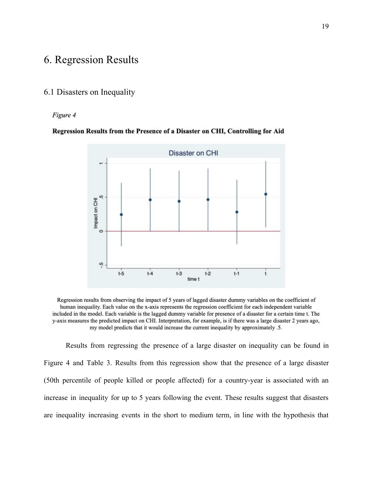# 6. Regression Results

## 6.1 Disasters on Inequality

### Figure 4

### Regression Results from the Presence of a Disaster on CHI, Controlling for Aid



Regression results from observing the impact of 5 years of lagged disaster dummy variables on the coefficient of human inequality. Each value on the x-axis represents the regression coefficient for each independent variable included in the model. Each variable is the lagged dummy variable for presence of a disaster for a certain time t. The y-axis measures the predicted impact on CHI. Interpretation, for example, is if there was a large disaster 2 years ago, my model predicts that it would increase the current inequality by approximately .5.

Results from regressing the presence of a large disaster on inequality can be found in Figure 4 and Table 3. Results from this regression show that the presence of a large disaster (50th percentile of people killed or people affected) for a country-year is associated with an increase in inequality for up to 5 years following the event. These results suggest that disasters are inequality increasing events in the short to medium term, in line with the hypothesis that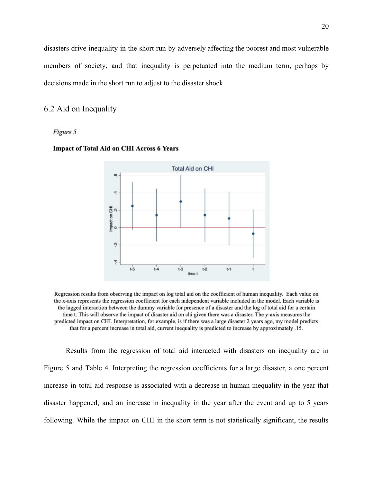disasters drive inequality in the short run by adversely affecting the poorest and most vulnerable members of society, and that inequality is perpetuated into the medium term, perhaps by decisions made in the short run to adjust to the disaster shock.

### 6.2 Aid on Inequality

#### Figure 5



### Impact of Total Aid on CHI Across 6 Years

Regression results from observing the impact on log total aid on the coefficient of human inequality. Each value on the x-axis represents the regression coefficient for each independent variable included in the model. Each variable is the lagged interaction between the dummy variable for presence of a disaster and the log of total aid for a certain time t. This will observe the impact of disaster aid on chi given there was a disaster. The y-axis measures the predicted impact on CHI. Interpretation, for example, is if there was a large disaster 2 years ago, my model predicts that for a percent increase in total aid, current inequality is predicted to increase by approximately .15.

Results from the regression of total aid interacted with disasters on inequality are in Figure 5 and Table 4. Interpreting the regression coefficients for a large disaster, a one percent increase in total aid response is associated with a decrease in human inequality in the year that disaster happened, and an increase in inequality in the year after the event and up to 5 years following. While the impact on CHI in the short term is not statistically significant, the results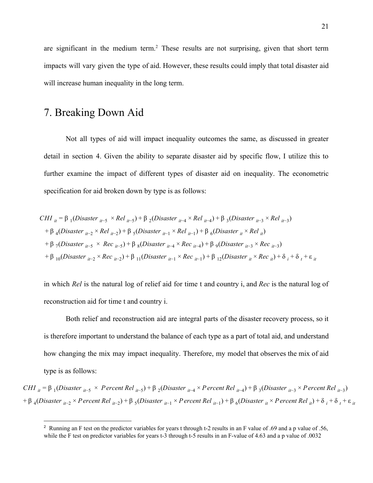are significant in the medium term.<sup>2</sup> These results are not surprising, given that short term impacts will vary given the type of aid. However, these results could imply that total disaster aid will increase human inequality in the long term.

# 7. Breaking Down Aid

Not all types of aid will impact inequality outcomes the same, as discussed in greater detail in section 4. Given the ability to separate disaster aid by specific flow, I utilize this to further examine the impact of different types of disaster aid on inequality. The econometric specification for aid broken down by type is as follows:

$$
CHI_{it} = \beta_1 (Disaster_{it-5} \times Rel_{it-5}) + \beta_2 (Disaster_{it-4} \times Rel_{it-4}) + \beta_3 (Disaster_{it-3} \times Rel_{it-3})
$$
  
+  $\beta_4 (Disaster_{it-2} \times Rel_{it-2}) + \beta_5 (Disaster_{it-1} \times Rel_{it-1}) + \beta_6 (Disaster_{it} \times Rel_{it})$   
+  $\beta_7 (Disaster_{it-5} \times Rec_{it-5}) + \beta_8 (Disaster_{it-4} \times Rec_{it-4}) + \beta_9 (Disaster_{it-3} \times Rec_{it-3})$   
+  $\beta_{10} (Disaster_{it-2} \times Rec_{it-2}) + \beta_{11} (Disaster_{it-1} \times Rec_{it-1}) + \beta_{12} (Disaster_{it} \times Rec_{it}) + \delta_i + \epsilon_i$ 

in which *Rel* is the natural log of relief aid for time t and country i, and *Rec* is the natural log of reconstruction aid for time t and country i.

Both relief and reconstruction aid are integral parts of the disaster recovery process, so it is therefore important to understand the balance of each type as a part of total aid, and understand how changing the mix may impact inequality. Therefore, my model that observes the mix of aid type is as follows:

CHI  $_{it}$  =  $\beta$  <sub>1</sub>(Disaster  $_{it-5}$  × P ercent Rel  $_{it-5}$ ) +  $\beta$  <sub>2</sub>(Disaster  $_{it-4}$  × P ercent Rel  $_{it-4}$ ) +  $\beta$  <sub>3</sub>(Disaster  $_{it-3}$  × P ercent Rel  $_{it-3}$ )  $+ \beta_4 (Disaster_{it-2} \times Percent\ Rel_{it-2}) + \beta_5 (Disaster_{it-1} \times Percent\ Rel_{it-1}) + \beta_6 (Disaster_{it} \times Percent\ Rel_{it}) + \delta_i + \delta_t + \epsilon_{it}$ 

<sup>&</sup>lt;sup>2</sup> Running an F test on the predictor variables for years t through t-2 results in an F value of .69 and a p value of .56, while the F test on predictor variables for years t-3 through t-5 results in an F-value of 4.63 and a p value of .0032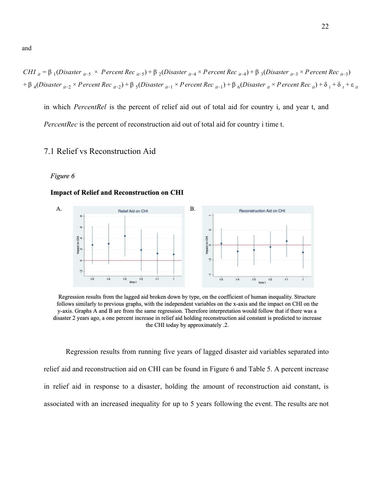CHI  $_{it}$  =  $\beta$  <sub>1</sub>(Disaster  $_{it-5}$  × P ercent Rec  $_{it-5}$ ) +  $\beta$  <sub>2</sub>(Disaster  $_{it-4}$  × P ercent Rec  $_{it-4}$ ) +  $\beta$  <sub>3</sub>(Disaster  $_{it-3}$  × P ercent Rec  $_{it-3}$ )  $+ \beta_4 (Disaster_{it-2} \times PercentRec_{it-2}) + \beta_5 (Disaster_{it-1} \times PercentRec_{it-1}) + \beta_6 (Disaster_{it} \times PercentRec_{it}) + \delta_i + \delta_t + \epsilon_{it}$ 

in which *PercentRel* is the percent of relief aid out of total aid for country i, and year t, and *PercentRec* is the percent of reconstruction aid out of total aid for country i time t.

## 7.1 Relief vs Reconstruction Aid

#### Figure 6

#### **Impact of Relief and Reconstruction on CHI**



Regression results from the lagged aid broken down by type, on the coefficient of human inequality. Structure follows similarly to previous graphs, with the independent variables on the x-axis and the impact on CHI on the y-axis. Graphs A and B are from the same regression. Therefore interpretation would follow that if there was a disaster 2 years ago, a one percent increase in relief aid holding reconstruction aid constant is predicted to increase the CHI today by approximately .2.

Regression results from running five years of lagged disaster aid variables separated into relief aid and reconstruction aid on CHI can be found in Figure 6 and Table 5. A percent increase in relief aid in response to a disaster, holding the amount of reconstruction aid constant, is associated with an increased inequality for up to 5 years following the event. The results are not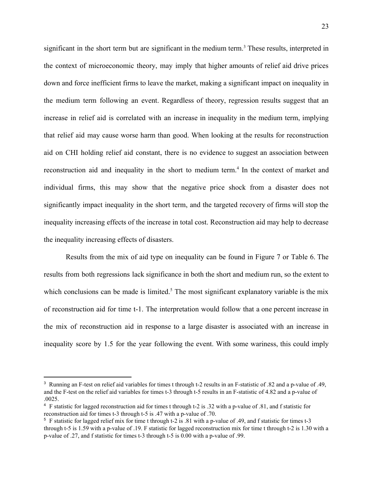significant in the short term but are significant in the medium term.<sup>3</sup> These results, interpreted in the context of microeconomic theory, may imply that higher amounts of relief aid drive prices down and force inefficient firms to leave the market, making a significant impact on inequality in the medium term following an event. Regardless of theory, regression results suggest that an increase in relief aid is correlated with an increase in inequality in the medium term, implying that relief aid may cause worse harm than good. When looking at the results for reconstruction aid on CHI holding relief aid constant, there is no evidence to suggest an association between reconstruction aid and inequality in the short to medium term.<sup>4</sup> In the context of market and individual firms, this may show that the negative price shock from a disaster does not significantly impact inequality in the short term, and the targeted recovery of firms will stop the inequality increasing effects of the increase in total cost. Reconstruction aid may help to decrease the inequality increasing effects of disasters.

Results from the mix of aid type on inequality can be found in Figure 7 or Table 6. The results from both regressions lack significance in both the short and medium run, so the extent to which conclusions can be made is limited.<sup>5</sup> The most significant explanatory variable is the mix of reconstruction aid for time t-1. The interpretation would follow that a one percent increase in the mix of reconstruction aid in response to a large disaster is associated with an increase in inequality score by 1.5 for the year following the event. With some wariness, this could imply

<sup>3</sup> Running an F-test on relief aid variables for times t through t-2 results in an F-statistic of .82 and a p-value of .49, and the F-test on the relief aid variables for times t-3 through t-5 results in an F-statistic of 4.82 and a p-value of .0025.

<sup>4</sup> F statistic for lagged reconstruction aid for times t through t-2 is .32 with a p-value of .81, and f statistic for reconstruction aid for times t-3 through t-5 is .47 with a p-value of .70.

<sup>5</sup> F statistic for lagged relief mix for time t through t-2 is .81 with a p-value of .49, and f statistic for times t-3 through t-5 is 1.59 with a p-value of .19. F statistic for lagged reconstruction mix for time t through t-2 is 1.30 with a p-value of .27, and f statistic for times t-3 through t-5 is 0.00 with a p-value of .99.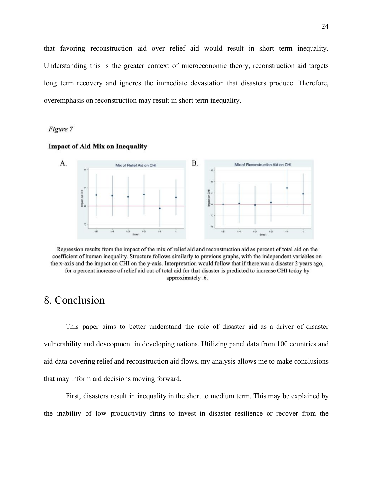that favoring reconstruction aid over relief aid would result in short term inequality. Understanding this is the greater context of microeconomic theory, reconstruction aid targets long term recovery and ignores the immediate devastation that disasters produce. Therefore, overemphasis on reconstruction may result in short term inequality.

### Figure 7



#### **Impact of Aid Mix on Inequality**

Regression results from the impact of the mix of relief aid and reconstruction aid as percent of total aid on the coefficient of human inequality. Structure follows similarly to previous graphs, with the independent variables on the x-axis and the impact on CHI on the y-axis. Interpretation would follow that if there was a disaster 2 years ago, for a percent increase of relief aid out of total aid for that disaster is predicted to increase CHI today by approximately .6.

# 8. Conclusion

This paper aims to better understand the role of disaster aid as a driver of disaster vulnerability and deveopment in developing nations. Utilizing panel data from 100 countries and aid data covering relief and reconstruction aid flows, my analysis allows me to make conclusions that may inform aid decisions moving forward.

First, disasters result in inequality in the short to medium term. This may be explained by the inability of low productivity firms to invest in disaster resilience or recover from the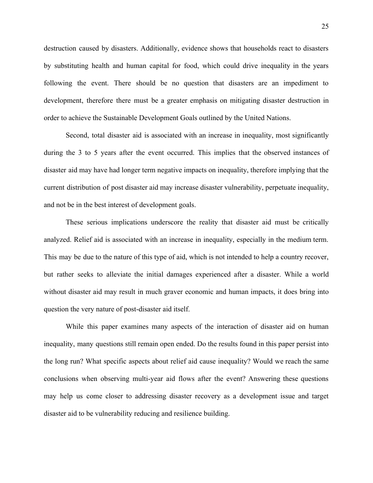destruction caused by disasters. Additionally, evidence shows that households react to disasters by substituting health and human capital for food, which could drive inequality in the years following the event. There should be no question that disasters are an impediment to development, therefore there must be a greater emphasis on mitigating disaster destruction in order to achieve the Sustainable Development Goals outlined by the United Nations.

Second, total disaster aid is associated with an increase in inequality, most significantly during the 3 to 5 years after the event occurred. This implies that the observed instances of disaster aid may have had longer term negative impacts on inequality, therefore implying that the current distribution of post disaster aid may increase disaster vulnerability, perpetuate inequality, and not be in the best interest of development goals.

These serious implications underscore the reality that disaster aid must be critically analyzed. Relief aid is associated with an increase in inequality, especially in the medium term. This may be due to the nature of this type of aid, which is not intended to help a country recover, but rather seeks to alleviate the initial damages experienced after a disaster. While a world without disaster aid may result in much graver economic and human impacts, it does bring into question the very nature of post-disaster aid itself.

While this paper examines many aspects of the interaction of disaster aid on human inequality, many questions still remain open ended. Do the results found in this paper persist into the long run? What specific aspects about relief aid cause inequality? Would we reach the same conclusions when observing multi-year aid flows after the event? Answering these questions may help us come closer to addressing disaster recovery as a development issue and target disaster aid to be vulnerability reducing and resilience building.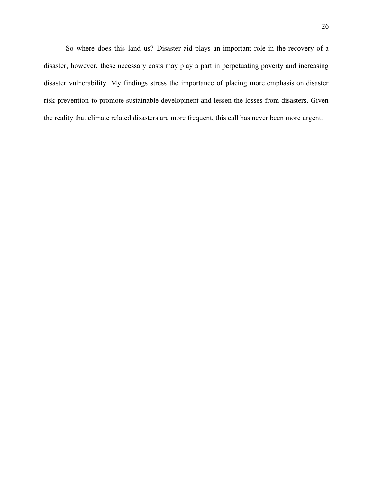So where does this land us? Disaster aid plays an important role in the recovery of a disaster, however, these necessary costs may play a part in perpetuating poverty and increasing disaster vulnerability. My findings stress the importance of placing more emphasis on disaster risk prevention to promote sustainable development and lessen the losses from disasters. Given the reality that climate related disasters are more frequent, this call has never been more urgent.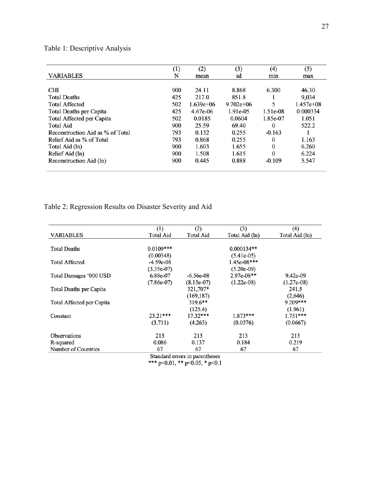## Table 1: Descriptive Analysis

|                                  | (1) | (2)         | (3)           | $\left(4\right)$ | (5)         |
|----------------------------------|-----|-------------|---------------|------------------|-------------|
| <b>VARIABLES</b>                 | N   | mean        | sd            | mın              | max         |
| <b>CHI</b>                       | 900 | 24.11       | 8.868         | 6.300            | 46.30       |
| <b>Total Deaths</b>              | 425 | 217.0       | 851.8         |                  | 9,034       |
| <b>Total Affected</b>            | 502 | $1.639e+06$ | $9.702e + 06$ | 5                | $1.457e+08$ |
| <b>Total Deaths per Capita</b>   | 425 | $4.67e-06$  | 1.91e-05      | 1.51e-08         | 0.000334    |
| Total Affected per Capita        | 502 | 0.0185      | 0.0604        | 1.85e-07         | 1.051       |
| <b>Total Aid</b>                 | 900 | 25.59       | 69.40         | 0                | 522.2       |
| Reconstruction Aid as % of Total | 793 | 0.132       | 0.255         | $-0.163$         |             |
| Relief Aid as % of Total         | 793 | 0.868       | 0.255         | 0                | 1.163       |
| Total Aid (ln)                   | 900 | 1.603       | 1.655         | $\theta$         | 6.260       |
| Relief Aid (ln)                  | 900 | 1.508       | 1.615         | 0                | 6.224       |
| Reconstruction Aid (ln)          | 900 | 0.445       | 0.888         | $-0.109$         | 5.547       |

# Table 2: Regression Results on Disaster Severity and Aid

|                           | (1)              | (2)              | (3)            | (4)            |
|---------------------------|------------------|------------------|----------------|----------------|
| <b>VARIABLES</b>          | <b>Total Aid</b> | <b>Total Aid</b> | Total Aid (ln) | Total Aid (ln) |
|                           |                  |                  |                |                |
| <b>Total Deaths</b>       | $0.0109***$      |                  | $0.000134**$   |                |
|                           | (0.00348)        |                  | $(5.41e-05)$   |                |
| <b>Total Affected</b>     | $-4.59e-08$      |                  | 1.45e-08***    |                |
|                           | $(3.35e-07)$     |                  | $(5.20e-09)$   |                |
| Total Damages '000 USD    | 6.88e-07         | $-6.56e-08$      | 2.97e-08**     | $9.42e-09$     |
|                           | $(7.86e-07)$     | $(8.13e-07)$     | $(1.22e-0.8)$  | $(1.27e-0.8)$  |
| Total Deaths per Capita   |                  | 321,707*         |                | 241.5          |
|                           |                  | (169, 187)       |                | (2,646)        |
| Total Affected per Capita |                  | $319.6**$        |                | 9.209***       |
|                           |                  | (125.4)          |                | (1.961)        |
| Constant                  | $23.21***$       | $17.32***$       | $1.873***$     | $1.751***$     |
|                           | (3.711)          | (4.263)          | (0.0576)       | (0.0667)       |
| <b>Observations</b>       | 213              | 213              | 213            | 213            |
| R-squared                 | 0.086            | 0.137            | 0.184          | 0.219          |
| Number of Countries       | 67               | 67<br>$\cdot$    | 67             | 67             |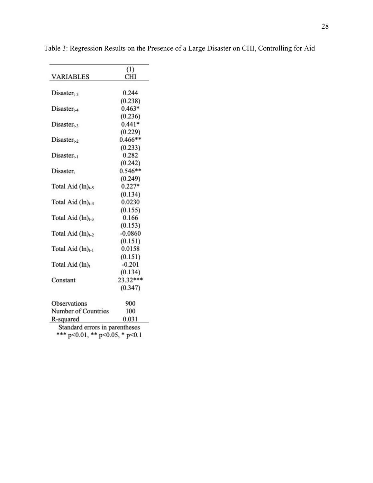| <b>VARIABLES</b>       | (1)<br><b>CHI</b> |
|------------------------|-------------------|
| $Disaster_{t-5}$       | 0.244             |
|                        | (0.238)           |
| $Disaster_{t-4}$       | $0.463*$          |
|                        | (0.236)           |
| $Disaster_{t-3}$       | $0.441*$          |
|                        | (0.229)           |
| $Disaster_{t-2}$       | $0.466**$         |
|                        | (0.233)           |
| $Disaster_{t-1}$       | 0.282             |
|                        | (0.242)           |
| Disaster <sub>t</sub>  | $0.546**$         |
|                        | (0.249)           |
| Total Aid $(ln)_{t-5}$ | $0.227*$          |
|                        | (0.134)           |
| Total Aid $(ln)_{t-4}$ | 0.0230            |
|                        | (0.155)           |
| Total Aid $(ln)_{t-3}$ | 0.166             |
|                        | (0.153)           |
| Total Aid $(ln)_{t-2}$ | $-0.0860$         |
|                        | (0.151)           |
| Total Aid $(ln)_{t-1}$ | 0.0158            |
|                        | (0.151)           |
| Total Aid $(ln)_t$     | $-0.201$          |
|                        | (0.134)           |
| Constant               | $23.32***$        |
|                        | (0.347)           |
|                        |                   |
| Observations           | 900               |
| Number of Countries    | 100               |
| R-squared              | 0.031             |

Table 3: Regression Results on the Presence of a Large Disaster on CHI, Controlling for Aid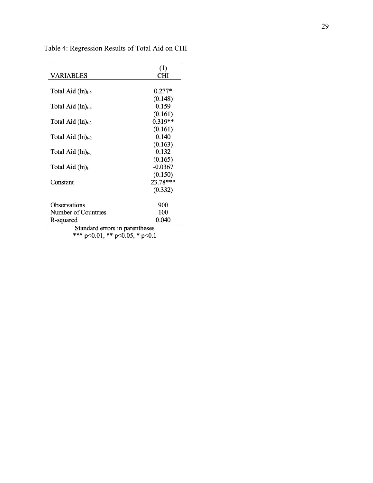|                                                                          | (1)       |
|--------------------------------------------------------------------------|-----------|
| VARIABLES                                                                | CHI       |
| Total Aid $(ln)_{t-5}$                                                   | $0.277*$  |
|                                                                          | (0.148)   |
| Total Aid $(ln)_{t-4}$                                                   | 0.159     |
|                                                                          | (0.161)   |
| Total Aid $(ln)_{t-3}$                                                   | $0.319**$ |
|                                                                          | (0.161)   |
| Total Aid $(ln)_{t-2}$                                                   | 0.140     |
|                                                                          | (0.163)   |
| Total Aid $(ln)_{t-1}$                                                   | 0.132     |
|                                                                          | (0.165)   |
| Total Aid $(ln)$ <sub>t</sub>                                            | $-0.0367$ |
|                                                                          | (0.150)   |
| Constant                                                                 | 23.78***  |
|                                                                          | (0.332)   |
| <b>Observations</b>                                                      | 900       |
| Number of Countries                                                      | 100       |
| R-squared                                                                | 0.040     |
| Standard errors in parentheses<br>*** $p<0.01$ , ** $p<0.05$ , * $p<0.1$ |           |

Table 4: Regression Results of Total Aid on CHI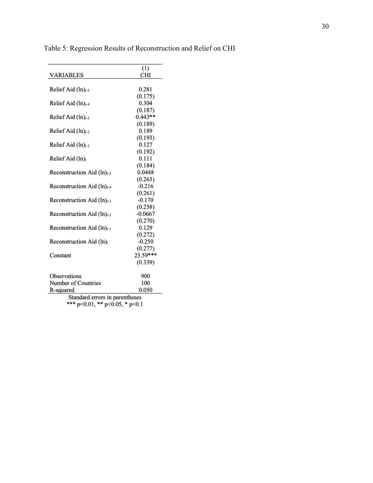|                                        | (1)       |
|----------------------------------------|-----------|
| <b>VARIABLES</b>                       | CHI       |
| Relief Aid (ln) <sub>t-5</sub>         | 0.281     |
|                                        | (0.175)   |
| Relief Aid (ln) <sub>t-4</sub>         | 0.304     |
|                                        | (0.187)   |
| Relief Aid $(ln)_{t-3}$                | $0.443**$ |
|                                        | (0.189)   |
| Relief Aid $(ln)_{t-2}$                | 0.189     |
|                                        | (0.193)   |
| Relief Aid (ln) <sub>t-1</sub>         | 0.127     |
|                                        | (0.192)   |
| Relief Aid (ln) <sub>t</sub>           | 0.111     |
|                                        | (0.184)   |
| Reconstruction Aid $(ln)_{t-5}$        | 0.0448    |
|                                        | (0.263)   |
| Reconstruction Aid $(ln)_{t-4}$        | $-0.216$  |
|                                        | (0.261)   |
| Reconstruction Aid $(ln)_{t-3}$        | $-0.170$  |
|                                        | (0.258)   |
| Reconstruction Aid (ln) <sub>t-2</sub> | $-0.0667$ |
|                                        | (0.270)   |
| Reconstruction Aid $(ln)_{t-1}$        | 0.129     |
|                                        | (0.272)   |
| Reconstruction Aid $(ln)_t$            | $-0.250$  |
|                                        | (0.277)   |
| Constant                               | 23.59***  |
|                                        | (0.339)   |
| <b>Observations</b>                    | 900       |
| Number of Countries                    | 100       |
| R-squared                              | 0.050     |

Table 5: Regression Results of Reconstruction and Relief on CHI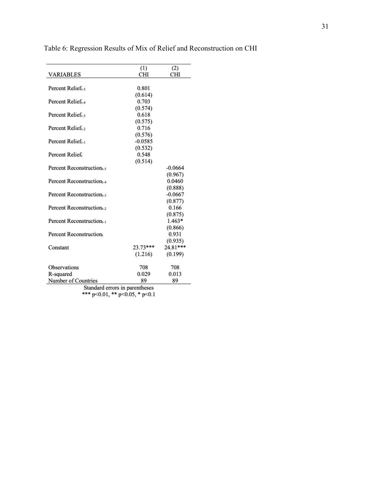|                               | (1)        | (2)        |
|-------------------------------|------------|------------|
| <b>VARIABLES</b>              | CHI        | CHI        |
| Percent Relief <sub>t-5</sub> | 0.801      |            |
|                               | (0.614)    |            |
| Percent Relief <sub>t-4</sub> | 0.703      |            |
|                               | (0.574)    |            |
| Percent Relief.               | 0.618      |            |
|                               | (0.575)    |            |
| Percent Relief.               | 0.716      |            |
|                               | (0.576)    |            |
| Percent Relief.               | $-0.0585$  |            |
|                               | (0.532)    |            |
| Percent Relief                | 0.548      |            |
|                               | (0.514)    |            |
| Percent Reconstruction        |            | $-0.0664$  |
|                               |            | (0.967)    |
| Percent Reconstruction        |            | 0.0460     |
|                               |            | (0.888)    |
| Percent Reconstruction        |            | $-0.0667$  |
|                               |            | (0.877)    |
| Percent Reconstruction        |            | 0.166      |
|                               |            | (0.875)    |
| Percent Reconstruction        |            | $1.463*$   |
|                               |            | (0.866)    |
| Percent Reconstruction        |            | 0.931      |
|                               |            | (0.935)    |
| Constant                      | $23.73***$ | $24.81***$ |
|                               | (1.216)    | (0.199)    |
| <b>Observations</b>           | 708        | 708        |
| R-squared                     | 0.029      | 0.013      |
| Number of Countries           | 89         | 89         |

Table 6: Regression Results of Mix of Relief and Reconstruction on CHI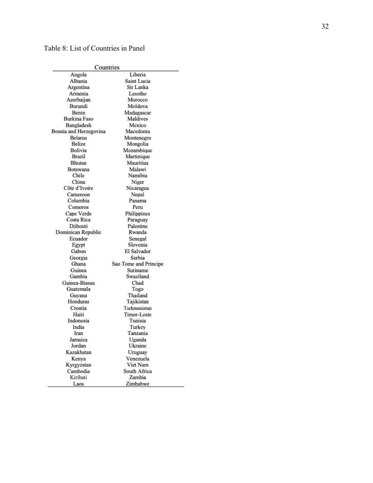## Table 8: List of Countries in Panel

|                        | Countries             |
|------------------------|-----------------------|
| Angola                 | Liberia               |
| Albania                | Saint Lucia           |
| Argentina              | Sir Lanka             |
| Armenia                | Lesotho               |
| Azerbaijan             | Morocco               |
| Burundi                | Moldova               |
| Benin                  | Madagascar            |
| Burkina Faso           | Maldives              |
| Bangladesh             | Mexico                |
| Bosnia and Herzegovina | Macedonia             |
| <b>Belarus</b>         | Montenegro            |
| <b>Belize</b>          | Mongolia              |
| Bolivia                | Mozambique            |
| Brazil                 | Martinique            |
| Bhutan                 | Mauritius             |
| Botswana               | Malawi                |
| Chile                  | Namibia               |
| China                  | Niger                 |
| Côte d'Ivoire          | Nicaragua             |
| Cameroon               | Nepal                 |
| Columbia               | Panama                |
| Comoros                | Peru                  |
| Cape Verde             | Philippines           |
| Costa Rica             | Paraguay              |
| Diibouti               | Palestine             |
| Dominican Republic     | Rwanda                |
| Ecuador                | Senegal               |
| Egypt                  | Slovenia              |
| Gabon                  | El Salvador           |
| Georgia                | Serbia                |
| Ghana                  | Sao Tome and Principe |
| Guinea                 | Suriname              |
| Gambia                 | Swaziland             |
| Guinea-Bissau          | Chad                  |
| Guatemala              | Togo                  |
| Guyana                 | Thailand              |
| Honduras               | Tajikistan            |
| Croatia                | Turkmenistan          |
| Haiti                  | <b>Timor-Leste</b>    |
| Indonesia              | Tunisia               |
| India                  | Turkey                |
| Iran                   | Tanzania              |
| Jamaica                | Uganda                |
| Jordan                 | Ukraine               |
| Kazakhstan             | Uruguay               |
| Kenya                  | Venezuela             |
| Kyrgyzstan             | Viet Nam              |
| Cambodia               | South Africa          |
| Kiribati               | Zambia                |
| Laos                   | Zimbabwe              |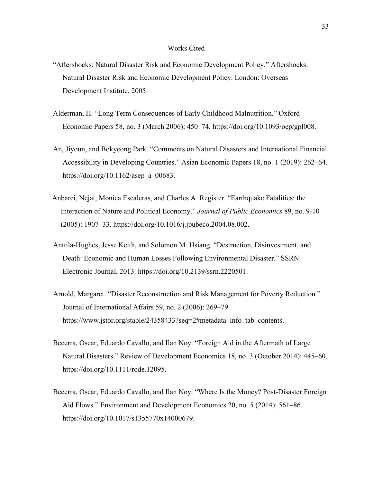#### Works Cited

- "Aftershocks: Natural Disaster Risk and Economic Development Policy." Aftershocks: Natural Disaster Risk and Economic Development Policy. London: Overseas Development Institute, 2005.
- Alderman, H. "Long Term Consequences of Early Childhood Malnutrition." Oxford Economic Papers 58, no. 3 (March 2006): 450–74. https://doi.org/10.1093/oep/gpl008.
- An, Jiyoun, and Bokyeong Park. "Comments on Natural Disasters and International Financial Accessibility in Developing Countries." Asian Economic Papers 18, no. 1 (2019): 262–64. [https://doi.org/10.1162/asep\\_a\\_00683.](https://doi.org/10.1162/asep_a_00683)
- Anbarci, Nejat, Monica Escaleras, and Charles A. Register. "Earthquake Fatalities: the Interaction of Nature and Political Economy." *Journal of Public Economics* 89, no. 9-10 (2005): 1907–33. https://doi.org/10.1016/j.jpubeco.2004.08.002.
- Anttila-Hughes, Jesse Keith, and Solomon M. Hsiang. "Destruction, Disinvestment, and Death: Economic and Human Losses Following Environmental Disaster." SSRN Electronic Journal, 2013. https://doi.org/10.2139/ssrn.2220501.
- Arnold, Margaret. "Disaster Reconstruction and Risk Management for Poverty Reduction." Journal of International Affairs 59, no. 2 (2006): 269–79. https://www.jstor.org/stable/24358433?seq=2#metadata\_info\_tab\_contents.
- Becerra, Oscar, Eduardo Cavallo, and Ilan Noy. "Foreign Aid in the Aftermath of Large Natural Disasters." Review of Development Economics 18, no. 3 (October 2014): 445–60. [https://doi.org/10.1111/rode.12095.](https://doi.org/10.1111/rode.12095)
- Becerra, Oscar, Eduardo Cavallo, and Ilan Noy. "Where Is the Money? Post-Disaster Foreign Aid Flows." Environment and Development Economics 20, no. 5 (2014): 561–86. <https://doi.org/10.1017/s1355770x14000679>.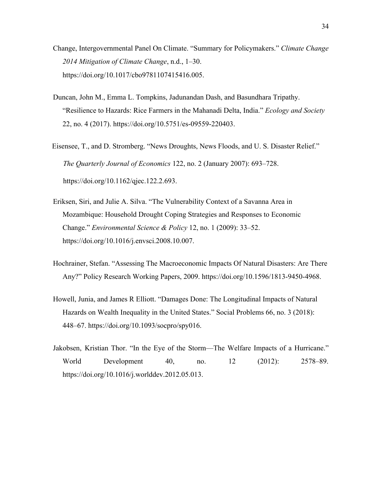- Change, Intergovernmental Panel On Climate. "Summary for Policymakers." *Climate Change 2014 Mitigation of Climate Change*, n.d., 1–30. https://doi.org/10.1017/cbo9781107415416.005.
- Duncan, John M., Emma L. Tompkins, Jadunandan Dash, and Basundhara Tripathy. "Resilience to Hazards: Rice Farmers in the Mahanadi Delta, India." *Ecology and Society* 22, no. 4 (2017). <https://doi.org/10.5751/es-09559-220403>.
- Eisensee, T., and D. Stromberg. "News Droughts, News Floods, and U. S. Disaster Relief." *The Quarterly Journal of Economics* 122, no. 2 (January 2007): 693–728. https://doi.org/10.1162/qjec.122.2.693.
- Eriksen, Siri, and Julie A. Silva. "The Vulnerability Context of a Savanna Area in Mozambique: Household Drought Coping Strategies and Responses to Economic Change." *Environmental Science & Policy* 12, no. 1 (2009): 33–52. https://doi.org/10.1016/j.envsci.2008.10.007.
- Hochrainer, Stefan. "Assessing The Macroeconomic Impacts Of Natural Disasters: Are There Any?" Policy Research Working Papers, 2009. https://doi.org/10.1596/1813-9450-4968.
- Howell, Junia, and James R Elliott. "Damages Done: The Longitudinal Impacts of Natural Hazards on Wealth Inequality in the United States." Social Problems 66, no. 3 (2018): 448–67. <https://doi.org/10.1093/socpro/spy016>.
- Jakobsen, Kristian Thor. "In the Eye of the Storm—The Welfare Impacts of a Hurricane." World Development 40, no. 12 (2012): 2578–89. https://doi.org/10.1016/j.worlddev.2012.05.013.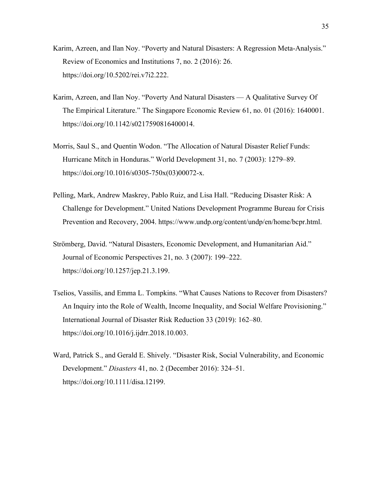- Karim, Azreen, and Ilan Noy. "Poverty and Natural Disasters: A Regression Meta-Analysis." Review of Economics and Institutions 7, no. 2 (2016): 26. <https://doi.org/10.5202/rei.v7i2.222>.
- Karim, Azreen, and Ilan Noy. "Poverty And Natural Disasters A Qualitative Survey Of The Empirical Literature." The Singapore Economic Review 61, no. 01 (2016): 1640001. <https://doi.org/10.1142/s0217590816400014>.
- Morris, Saul S., and Quentin Wodon. "The Allocation of Natural Disaster Relief Funds: Hurricane Mitch in Honduras." World Development 31, no. 7 (2003): 1279–89. https://doi.org/10.1016/s0305-750x(03)00072-x.
- Pelling, Mark, Andrew Maskrey, Pablo Ruiz, and Lisa Hall. "Reducing Disaster Risk: A Challenge for Development." United Nations Development Programme Bureau for Crisis Prevention and Recovery, 2004. https://www.undp.org/content/undp/en/home/bcpr.html.
- Strömberg, David. "Natural Disasters, Economic Development, and Humanitarian Aid." Journal of Economic Perspectives 21, no. 3 (2007): 199–222. https://doi.org/10.1257/jep.21.3.199.
- Tselios, Vassilis, and Emma L. Tompkins. "What Causes Nations to Recover from Disasters? An Inquiry into the Role of Wealth, Income Inequality, and Social Welfare Provisioning." International Journal of Disaster Risk Reduction 33 (2019): 162–80. https://doi.org/10.1016/j.ijdrr.2018.10.003.
- Ward, Patrick S., and Gerald E. Shively. "Disaster Risk, Social Vulnerability, and Economic Development." *Disasters* 41, no. 2 (December 2016): 324–51. <https://doi.org/10.1111/disa.12199>.